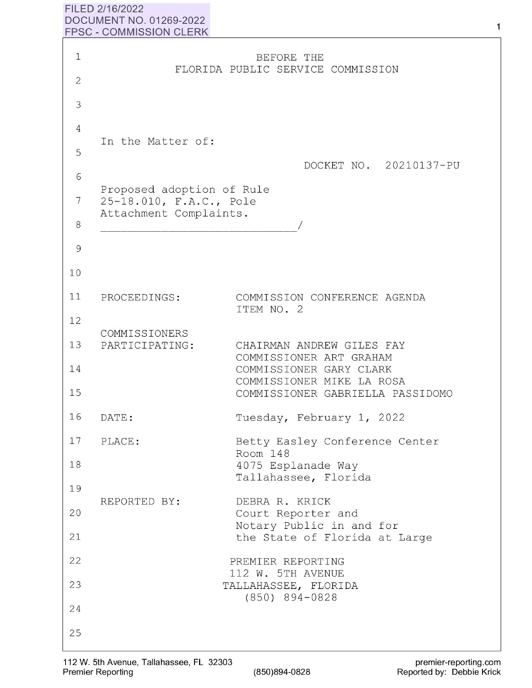## **FILED 2/16/2022 DOCUMENT NO. 01269-2022 FPSC** - **COMMISSION CLERK**

| 1  |                                                                                | BEFORE THE<br>FLORIDA PUBLIC SERVICE COMMISSION               |  |  |
|----|--------------------------------------------------------------------------------|---------------------------------------------------------------|--|--|
| 2  |                                                                                |                                                               |  |  |
| 3  |                                                                                |                                                               |  |  |
| 4  |                                                                                |                                                               |  |  |
| 5  | In the Matter of:                                                              |                                                               |  |  |
| 6  |                                                                                | DOCKET NO. 20210137-PU                                        |  |  |
| 7  | Proposed adoption of Rule<br>25-18.010, F.A.C., Pole<br>Attachment Complaints. |                                                               |  |  |
| 8  |                                                                                |                                                               |  |  |
| 9  |                                                                                |                                                               |  |  |
| 10 |                                                                                |                                                               |  |  |
| 11 | PROCEEDINGS:                                                                   | COMMISSION CONFERENCE AGENDA<br>ITEM NO. 2                    |  |  |
| 12 |                                                                                |                                                               |  |  |
| 13 | COMMISSIONERS<br>PARTICIPATING:                                                | CHAIRMAN ANDREW GILES FAY                                     |  |  |
| 14 |                                                                                | COMMISSIONER ART GRAHAM<br>COMMISSIONER GARY CLARK            |  |  |
| 15 |                                                                                | COMMISSIONER MIKE LA ROSA<br>COMMISSIONER GABRIELLA PASSIDOMO |  |  |
| 16 | DATE:                                                                          | Tuesday, February 1, 2022                                     |  |  |
| 17 | PLACE:                                                                         | Betty Easley Conference Center<br>Room 148                    |  |  |
| 18 |                                                                                | 4075 Esplanade Way                                            |  |  |
| 19 |                                                                                | Tallahassee, Florida                                          |  |  |
| 20 | REPORTED BY:                                                                   | DEBRA R. KRICK<br>Court Reporter and                          |  |  |
| 21 |                                                                                | Notary Public in and for<br>the State of Florida at Large     |  |  |
| 22 |                                                                                | PREMIER REPORTING                                             |  |  |
| 23 |                                                                                | 112 W. 5TH AVENUE<br>TALLAHASSEE, FLORIDA                     |  |  |
| 24 |                                                                                | $(850)$ 894-0828                                              |  |  |
| 25 |                                                                                |                                                               |  |  |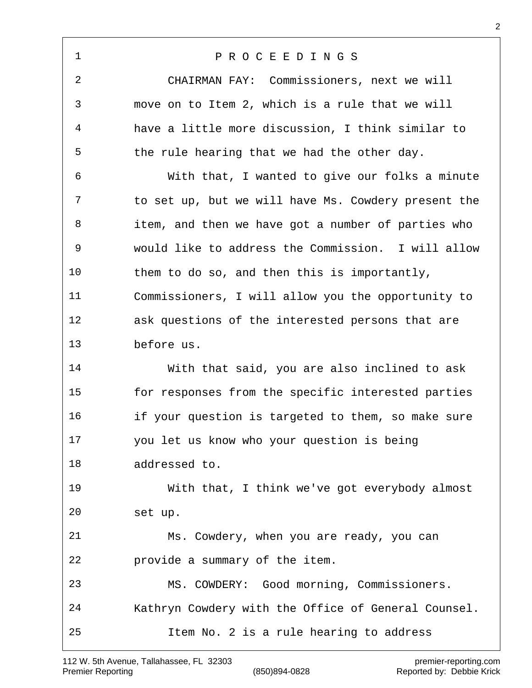P R O C E E D I N G S CHAIRMAN FAY: Commissioners, next we will move on to Item 2, which is a rule that we will have a little more discussion, I think similar to the rule hearing that we had the other day. With that, I wanted to give our folks a minute to set up, but we will have Ms. Cowdery present the item, and then we have got a number of parties who would like to address the Commission. I will allow them to do so, and then this is importantly, Commissioners, I will allow you the opportunity to ask questions of the interested persons that are before us. With that said, you are also inclined to ask for responses from the specific interested parties if your question is targeted to them, so make sure you let us know who your question is being addressed to. With that, I think we've got everybody almost set up. Ms. Cowdery, when you are ready, you can provide a summary of the item. MS. COWDERY: Good morning, Commissioners. Kathryn Cowdery with the Office of General Counsel. Item No. 2 is a rule hearing to address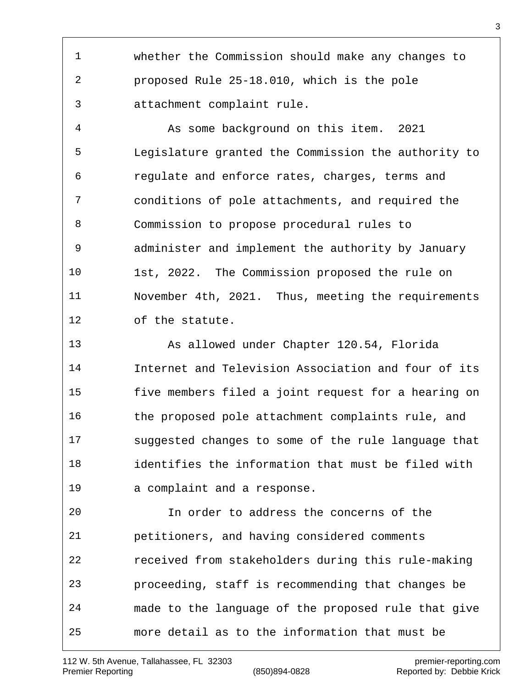whether the Commission should make any changes to proposed Rule 25-18.010, which is the pole attachment complaint rule.

 As some background on this item. 2021 Legislature granted the Commission the authority to regulate and enforce rates, charges, terms and conditions of pole attachments, and required the Commission to propose procedural rules to administer and implement the authority by January 1st, 2022. The Commission proposed the rule on November 4th, 2021. Thus, meeting the requirements of the statute.

 As allowed under Chapter 120.54, Florida Internet and Television Association and four of its five members filed a joint request for a hearing on the proposed pole attachment complaints rule, and suggested changes to some of the rule language that identifies the information that must be filed with a complaint and a response.

 In order to address the concerns of the petitioners, and having considered comments received from stakeholders during this rule-making proceeding, staff is recommending that changes be made to the language of the proposed rule that give more detail as to the information that must be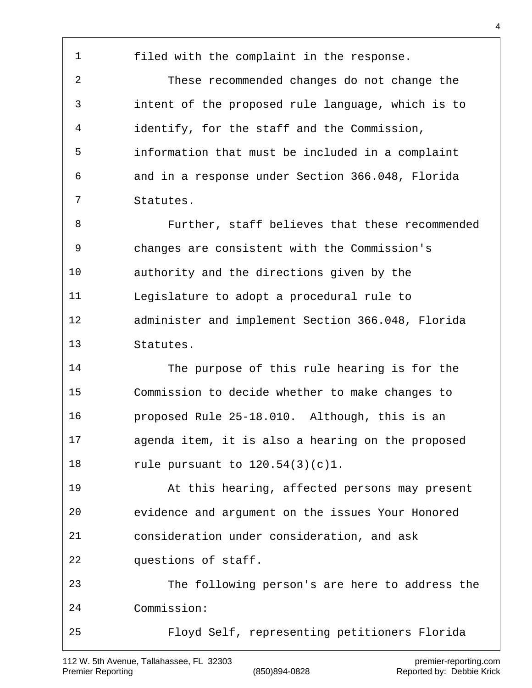filed with the complaint in the response. These recommended changes do not change the intent of the proposed rule language, which is to identify, for the staff and the Commission, information that must be included in a complaint and in a response under Section 366.048, Florida Statutes. Further, staff believes that these recommended changes are consistent with the Commission's authority and the directions given by the Legislature to adopt a procedural rule to administer and implement Section 366.048, Florida Statutes. The purpose of this rule hearing is for the Commission to decide whether to make changes to proposed Rule 25-18.010. Although, this is an agenda item, it is also a hearing on the proposed rule pursuant to 120.54(3)(c)1. At this hearing, affected persons may present evidence and argument on the issues Your Honored consideration under consideration, and ask questions of staff. The following person's are here to address the Commission: Floyd Self, representing petitioners Florida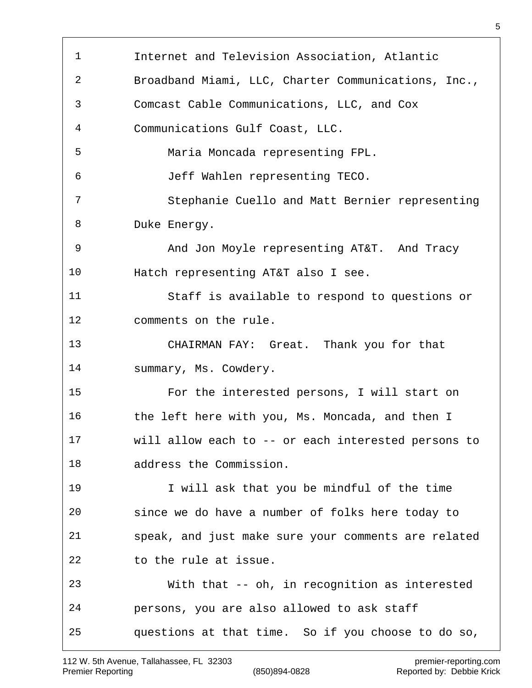| $\mathbf{1}$ |                                                     |
|--------------|-----------------------------------------------------|
|              | Internet and Television Association, Atlantic       |
| 2            | Broadband Miami, LLC, Charter Communications, Inc., |
| 3            | Comcast Cable Communications, LLC, and Cox          |
| 4            | Communications Gulf Coast, LLC.                     |
| 5            | Maria Moncada representing FPL.                     |
| 6            | Jeff Wahlen representing TECO.                      |
| 7            | Stephanie Cuello and Matt Bernier representing      |
| 8            | Duke Energy.                                        |
| 9            | And Jon Moyle representing AT&T. And Tracy          |
| 10           | Hatch representing AT&T also I see.                 |
| 11           | Staff is available to respond to questions or       |
| 12           | comments on the rule.                               |
| 13           | CHAIRMAN FAY: Great. Thank you for that             |
| 14           | summary, Ms. Cowdery.                               |
| 15           | For the interested persons, I will start on         |
| 16           | the left here with you, Ms. Moncada, and then I     |
| 17           | will allow each to -- or each interested persons to |
| 18           | address the Commission.                             |
| 19           | I will ask that you be mindful of the time          |
| 20           | since we do have a number of folks here today to    |
| 21           | speak, and just make sure your comments are related |
| 22           | to the rule at issue.                               |
| 23           | With that -- oh, in recognition as interested       |
| 24           | persons, you are also allowed to ask staff          |
|              |                                                     |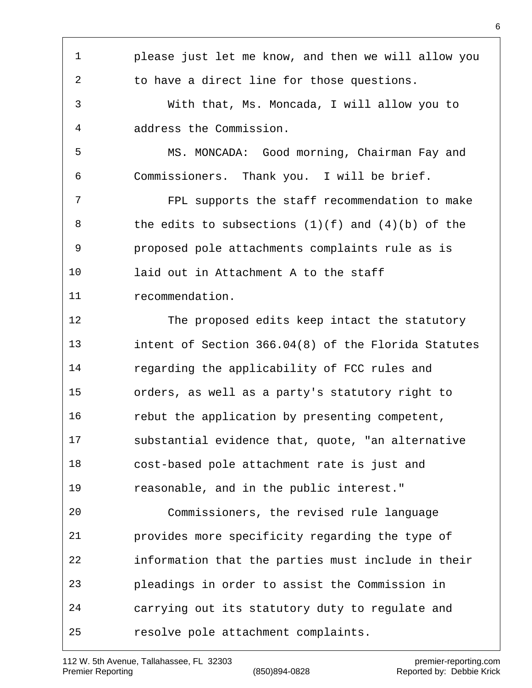please just let me know, and then we will allow you to have a direct line for those questions. With that, Ms. Moncada, I will allow you to address the Commission. MS. MONCADA: Good morning, Chairman Fay and Commissioners. Thank you. I will be brief. FPL supports the staff recommendation to make 8 the edits to subsections  $(1)(f)$  and  $(4)(b)$  of the proposed pole attachments complaints rule as is laid out in Attachment A to the staff recommendation. The proposed edits keep intact the statutory intent of Section 366.04(8) of the Florida Statutes regarding the applicability of FCC rules and orders, as well as a party's statutory right to rebut the application by presenting competent, substantial evidence that, quote, "an alternative cost-based pole attachment rate is just and reasonable, and in the public interest." Commissioners, the revised rule language provides more specificity regarding the type of information that the parties must include in their pleadings in order to assist the Commission in carrying out its statutory duty to regulate and resolve pole attachment complaints.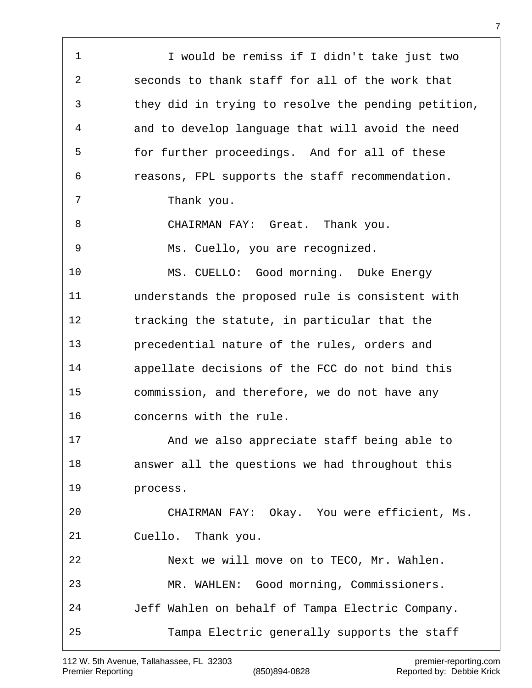| $\mathbf 1$    | I would be remiss if I didn't take just two         |
|----------------|-----------------------------------------------------|
| $\overline{2}$ | seconds to thank staff for all of the work that     |
| 3              | they did in trying to resolve the pending petition, |
| 4              | and to develop language that will avoid the need    |
| 5              | for further proceedings. And for all of these       |
| 6              | reasons, FPL supports the staff recommendation.     |
| 7              | Thank you.                                          |
| 8              | CHAIRMAN FAY: Great. Thank you.                     |
| 9              | Ms. Cuello, you are recognized.                     |
| 10             | MS. CUELLO: Good morning. Duke Energy               |
| 11             | understands the proposed rule is consistent with    |
| 12             | tracking the statute, in particular that the        |
| 13             | precedential nature of the rules, orders and        |
| 14             | appellate decisions of the FCC do not bind this     |
| 15             | commission, and therefore, we do not have any       |
| 16             | concerns with the rule.                             |
| 17             | And we also appreciate staff being able to          |
| 18             | answer all the questions we had throughout this     |
| 19             | process.                                            |
| 20             | CHAIRMAN FAY: Okay. You were efficient, Ms.         |
| 21             | Cuello. Thank you.                                  |
| 22             | Next we will move on to TECO, Mr. Wahlen.           |
| 23             | MR. WAHLEN: Good morning, Commissioners.            |
| 24             | Jeff Wahlen on behalf of Tampa Electric Company.    |
| 25             | Tampa Electric generally supports the staff         |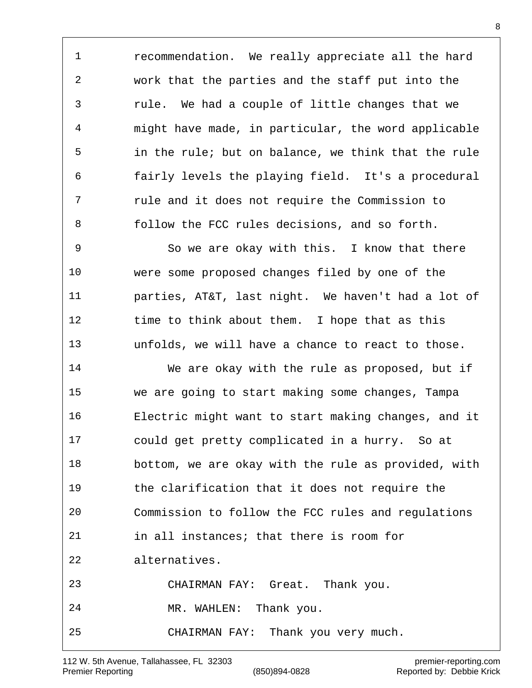recommendation. We really appreciate all the hard work that the parties and the staff put into the rule. We had a couple of little changes that we might have made, in particular, the word applicable in the rule; but on balance, we think that the rule fairly levels the playing field. It's a procedural rule and it does not require the Commission to follow the FCC rules decisions, and so forth.

 So we are okay with this. I know that there were some proposed changes filed by one of the parties, AT&T, last night. We haven't had a lot of 12 time to think about them. I hope that as this unfolds, we will have a chance to react to those.

 We are okay with the rule as proposed, but if we are going to start making some changes, Tampa Electric might want to start making changes, and it could get pretty complicated in a hurry. So at bottom, we are okay with the rule as provided, with the clarification that it does not require the Commission to follow the FCC rules and regulations in all instances; that there is room for alternatives. CHAIRMAN FAY: Great. Thank you. MR. WAHLEN: Thank you. CHAIRMAN FAY: Thank you very much.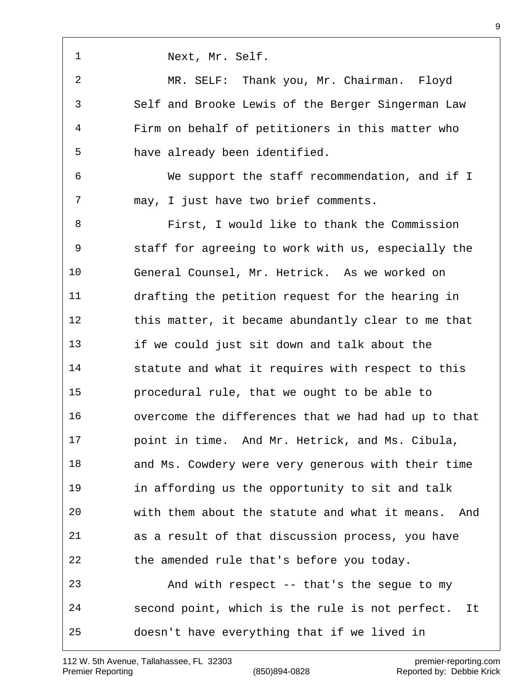| 1  | Next, Mr. Self.                                       |
|----|-------------------------------------------------------|
| 2  | MR. SELF: Thank you, Mr. Chairman. Floyd              |
| 3  | Self and Brooke Lewis of the Berger Singerman Law     |
| 4  | Firm on behalf of petitioners in this matter who      |
| 5  | have already been identified.                         |
| 6  | We support the staff recommendation, and if I         |
| 7  | may, I just have two brief comments.                  |
| 8  | First, I would like to thank the Commission           |
| 9  | staff for agreeing to work with us, especially the    |
| 10 | General Counsel, Mr. Hetrick. As we worked on         |
| 11 | drafting the petition request for the hearing in      |
| 12 | this matter, it became abundantly clear to me that    |
| 13 | if we could just sit down and talk about the          |
| 14 | statute and what it requires with respect to this     |
| 15 | procedural rule, that we ought to be able to          |
| 16 | overcome the differences that we had had up to that   |
| 17 | point in time. And Mr. Hetrick, and Ms. Cibula,       |
| 18 | and Ms. Cowdery were very generous with their time    |
| 19 | in affording us the opportunity to sit and talk       |
| 20 | with them about the statute and what it means. And    |
| 21 | as a result of that discussion process, you have      |
| 22 | the amended rule that's before you today.             |
| 23 | And with respect -- that's the segue to my            |
| 24 | second point, which is the rule is not perfect.<br>It |
| 25 | doesn't have everything that if we lived in           |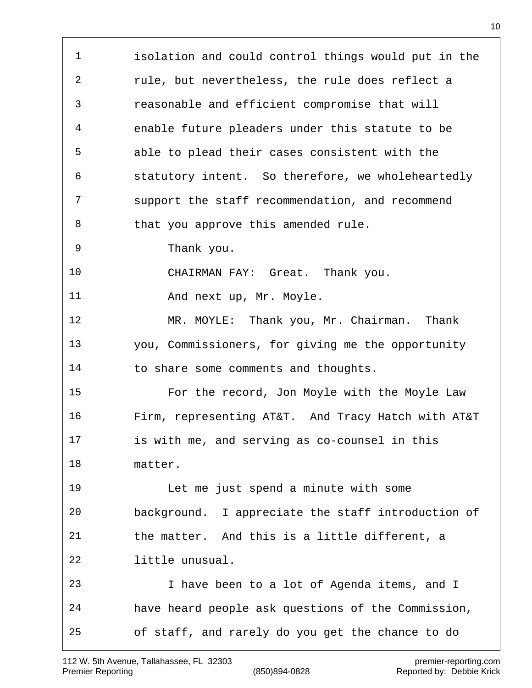isolation and could control things would put in the rule, but nevertheless, the rule does reflect a reasonable and efficient compromise that will enable future pleaders under this statute to be able to plead their cases consistent with the statutory intent. So therefore, we wholeheartedly support the staff recommendation, and recommend 8 that you approve this amended rule. Thank you. CHAIRMAN FAY: Great. Thank you. 11 And next up, Mr. Moyle. MR. MOYLE: Thank you, Mr. Chairman. Thank you, Commissioners, for giving me the opportunity to share some comments and thoughts. For the record, Jon Moyle with the Moyle Law Firm, representing AT&T. And Tracy Hatch with AT&T is with me, and serving as co-counsel in this matter. Let me just spend a minute with some background. I appreciate the staff introduction of the matter. And this is a little different, a little unusual. I have been to a lot of Agenda items, and I have heard people ask questions of the Commission, of staff, and rarely do you get the chance to do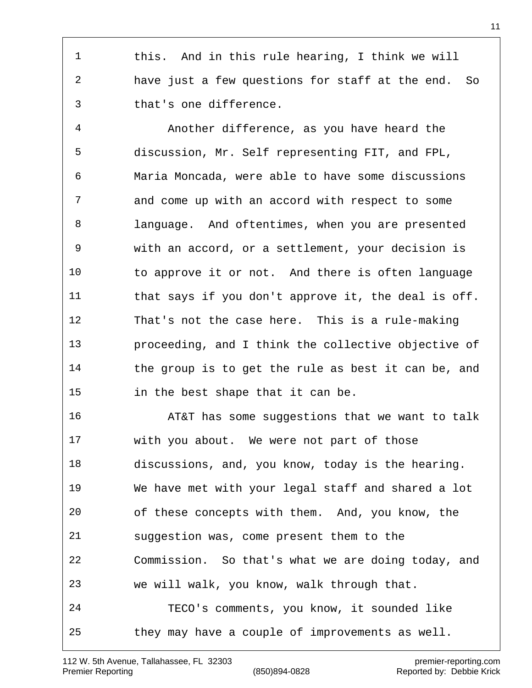this. And in this rule hearing, I think we will have just a few questions for staff at the end. So that's one difference.

 Another difference, as you have heard the discussion, Mr. Self representing FIT, and FPL, Maria Moncada, were able to have some discussions and come up with an accord with respect to some language. And oftentimes, when you are presented with an accord, or a settlement, your decision is to approve it or not. And there is often language 11 that says if you don't approve it, the deal is off. That's not the case here. This is a rule-making proceeding, and I think the collective objective of the group is to get the rule as best it can be, and in the best shape that it can be.

 AT&T has some suggestions that we want to talk with you about. We were not part of those discussions, and, you know, today is the hearing. We have met with your legal staff and shared a lot of these concepts with them. And, you know, the suggestion was, come present them to the Commission. So that's what we are doing today, and we will walk, you know, walk through that. TECO's comments, you know, it sounded like they may have a couple of improvements as well.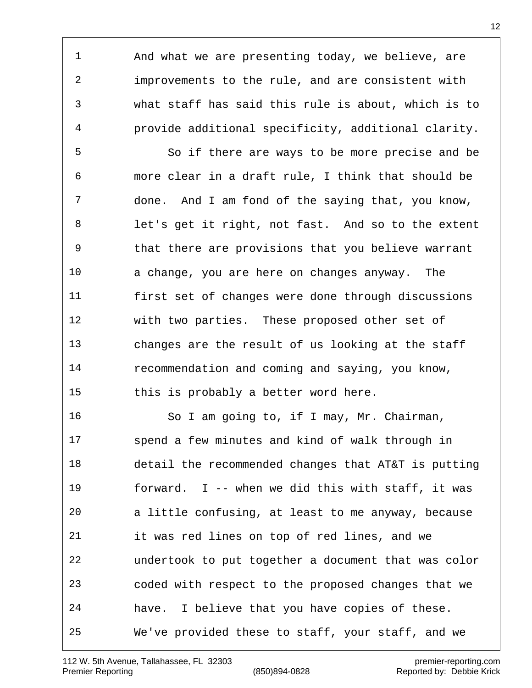And what we are presenting today, we believe, are improvements to the rule, and are consistent with what staff has said this rule is about, which is to provide additional specificity, additional clarity.

 So if there are ways to be more precise and be more clear in a draft rule, I think that should be done. And I am fond of the saying that, you know, let's get it right, not fast. And so to the extent that there are provisions that you believe warrant a change, you are here on changes anyway. The first set of changes were done through discussions with two parties. These proposed other set of changes are the result of us looking at the staff recommendation and coming and saying, you know, 15 this is probably a better word here.

 So I am going to, if I may, Mr. Chairman, spend a few minutes and kind of walk through in detail the recommended changes that AT&T is putting forward. I -- when we did this with staff, it was a little confusing, at least to me anyway, because it was red lines on top of red lines, and we undertook to put together a document that was color coded with respect to the proposed changes that we have. I believe that you have copies of these. We've provided these to staff, your staff, and we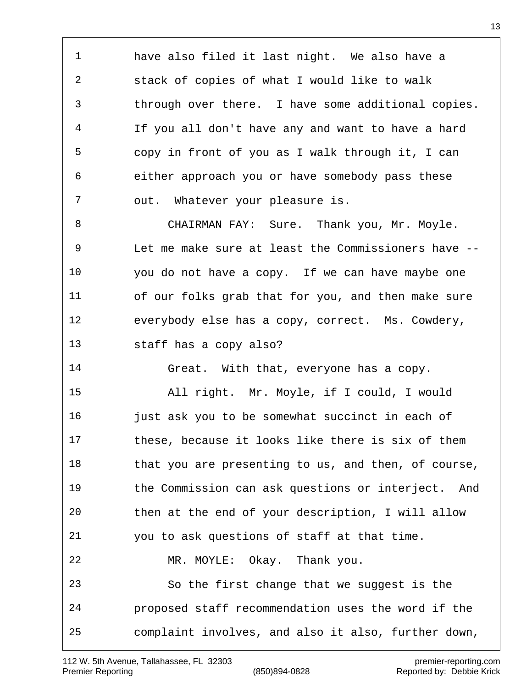have also filed it last night. We also have a stack of copies of what I would like to walk through over there. I have some additional copies. If you all don't have any and want to have a hard copy in front of you as I walk through it, I can either approach you or have somebody pass these out. Whatever your pleasure is.

8 CHAIRMAN FAY: Sure. Thank you, Mr. Moyle. Let me make sure at least the Commissioners have -- you do not have a copy. If we can have maybe one of our folks grab that for you, and then make sure everybody else has a copy, correct. Ms. Cowdery, staff has a copy also?

Great. With that, everyone has a copy.

 All right. Mr. Moyle, if I could, I would **just ask you to be somewhat succinct in each of**  these, because it looks like there is six of them 18 that you are presenting to us, and then, of course, the Commission can ask questions or interject. And then at the end of your description, I will allow you to ask questions of staff at that time. MR. MOYLE: Okay. Thank you. So the first change that we suggest is the proposed staff recommendation uses the word if the complaint involves, and also it also, further down,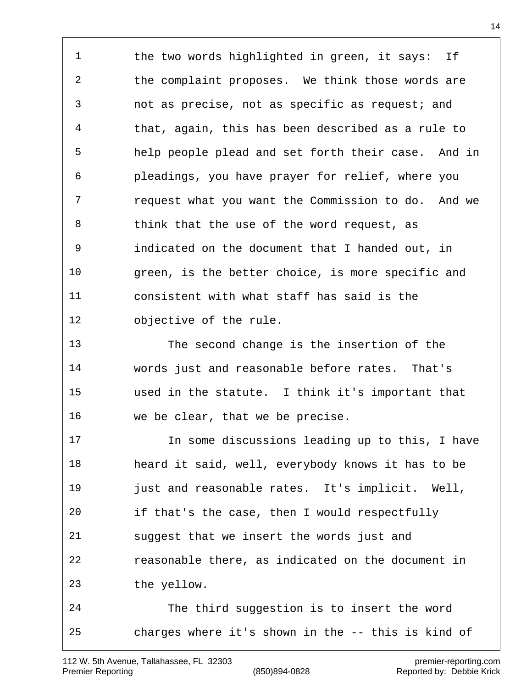1 the two words highlighted in green, it says: If 2 the complaint proposes. We think those words are not as precise, not as specific as request; and that, again, this has been described as a rule to help people plead and set forth their case. And in pleadings, you have prayer for relief, where you request what you want the Commission to do. And we think that the use of the word request, as indicated on the document that I handed out, in green, is the better choice, is more specific and consistent with what staff has said is the objective of the rule.

 The second change is the insertion of the words just and reasonable before rates. That's used in the statute. I think it's important that we be clear, that we be precise.

 In some discussions leading up to this, I have heard it said, well, everybody knows it has to be **just and reasonable rates.** It's implicit. Well, if that's the case, then I would respectfully suggest that we insert the words just and reasonable there, as indicated on the document in the yellow.

 The third suggestion is to insert the word charges where it's shown in the -- this is kind of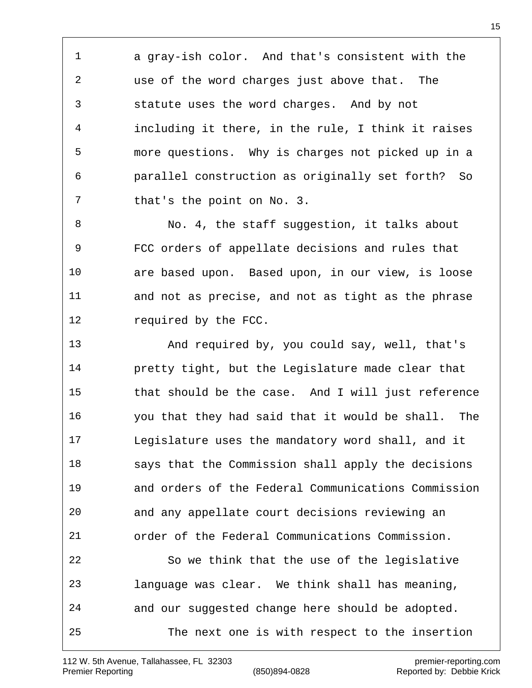a gray-ish color. And that's consistent with the use of the word charges just above that. The statute uses the word charges. And by not including it there, in the rule, I think it raises more questions. Why is charges not picked up in a parallel construction as originally set forth? So 7 that's the point on No. 3.

8 No. 4, the staff suggestion, it talks about FCC orders of appellate decisions and rules that are based upon. Based upon, in our view, is loose and not as precise, and not as tight as the phrase 12 required by the FCC.

 And required by, you could say, well, that's pretty tight, but the Legislature made clear that that should be the case. And I will just reference you that they had said that it would be shall. The Legislature uses the mandatory word shall, and it says that the Commission shall apply the decisions and orders of the Federal Communications Commission and any appellate court decisions reviewing an order of the Federal Communications Commission. So we think that the use of the legislative language was clear. We think shall has meaning, and our suggested change here should be adopted. The next one is with respect to the insertion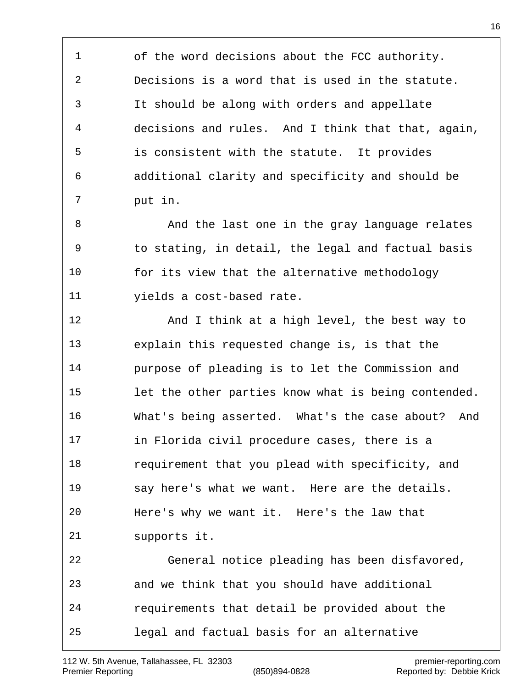of the word decisions about the FCC authority. Decisions is a word that is used in the statute. It should be along with orders and appellate decisions and rules. And I think that that, again, is consistent with the statute. It provides additional clarity and specificity and should be put in.

8 And the last one in the gray language relates to stating, in detail, the legal and factual basis for its view that the alternative methodology yields a cost-based rate.

12 And I think at a high level, the best way to explain this requested change is, is that the purpose of pleading is to let the Commission and let the other parties know what is being contended. What's being asserted. What's the case about? And in Florida civil procedure cases, there is a 18 requirement that you plead with specificity, and say here's what we want. Here are the details. Here's why we want it. Here's the law that supports it. General notice pleading has been disfavored, and we think that you should have additional requirements that detail be provided about the legal and factual basis for an alternative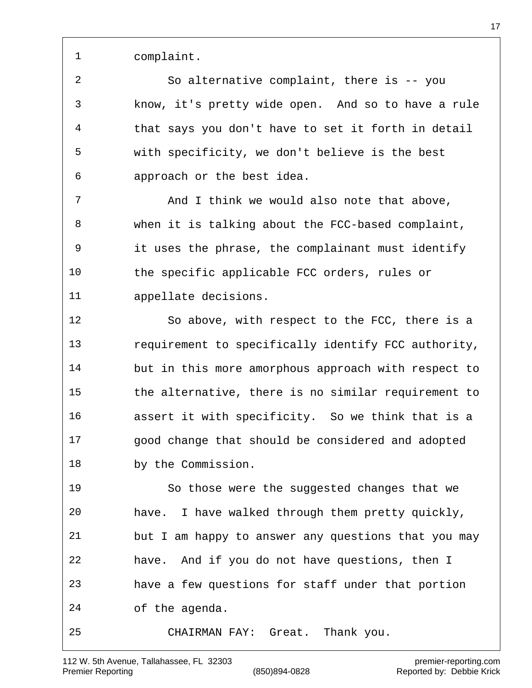complaint.

 So alternative complaint, there is -- you know, it's pretty wide open. And so to have a rule that says you don't have to set it forth in detail with specificity, we don't believe is the best approach or the best idea.

7 And I think we would also note that above, when it is talking about the FCC-based complaint, it uses the phrase, the complainant must identify the specific applicable FCC orders, rules or appellate decisions.

 So above, with respect to the FCC, there is a requirement to specifically identify FCC authority, but in this more amorphous approach with respect to the alternative, there is no similar requirement to assert it with specificity. So we think that is a good change that should be considered and adopted by the Commission.

 So those were the suggested changes that we have. I have walked through them pretty quickly, but I am happy to answer any questions that you may have. And if you do not have questions, then I have a few questions for staff under that portion of the agenda. CHAIRMAN FAY: Great. Thank you.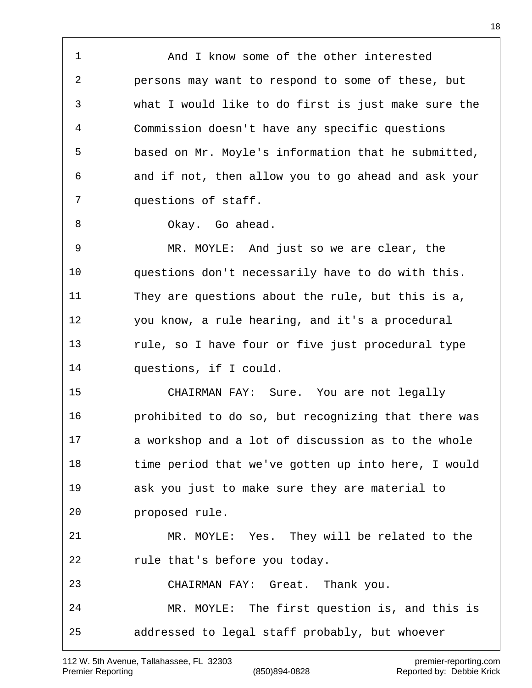And I know some of the other interested persons may want to respond to some of these, but what I would like to do first is just make sure the Commission doesn't have any specific questions based on Mr. Moyle's information that he submitted, and if not, then allow you to go ahead and ask your questions of staff.

8 Okay. Go ahead.

 MR. MOYLE: And just so we are clear, the questions don't necessarily have to do with this. They are questions about the rule, but this is a, you know, a rule hearing, and it's a procedural rule, so I have four or five just procedural type questions, if I could.

 CHAIRMAN FAY: Sure. You are not legally prohibited to do so, but recognizing that there was a workshop and a lot of discussion as to the whole time period that we've gotten up into here, I would ask you just to make sure they are material to proposed rule. MR. MOYLE: Yes. They will be related to the

rule that's before you today.

 CHAIRMAN FAY: Great. Thank you. MR. MOYLE: The first question is, and this is addressed to legal staff probably, but whoever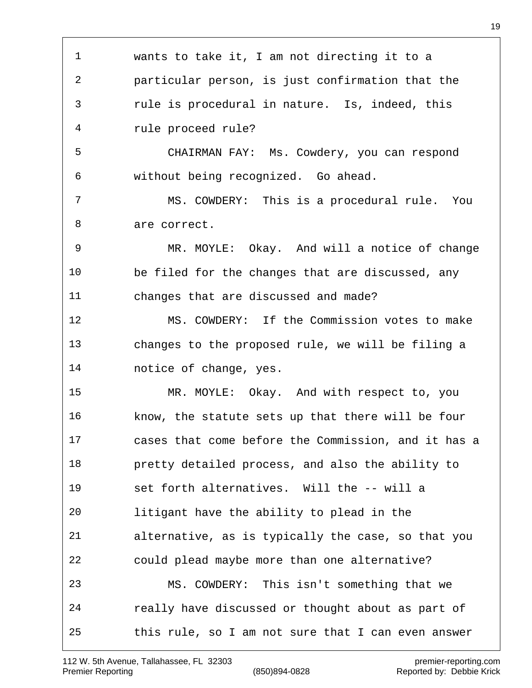wants to take it, I am not directing it to a particular person, is just confirmation that the rule is procedural in nature. Is, indeed, this rule proceed rule? CHAIRMAN FAY: Ms. Cowdery, you can respond without being recognized. Go ahead. MS. COWDERY: This is a procedural rule. You are correct. MR. MOYLE: Okay. And will a notice of change be filed for the changes that are discussed, any changes that are discussed and made? MS. COWDERY: If the Commission votes to make changes to the proposed rule, we will be filing a notice of change, yes. MR. MOYLE: Okay. And with respect to, you know, the statute sets up that there will be four cases that come before the Commission, and it has a pretty detailed process, and also the ability to set forth alternatives. Will the -- will a litigant have the ability to plead in the alternative, as is typically the case, so that you could plead maybe more than one alternative? MS. COWDERY: This isn't something that we really have discussed or thought about as part of this rule, so I am not sure that I can even answer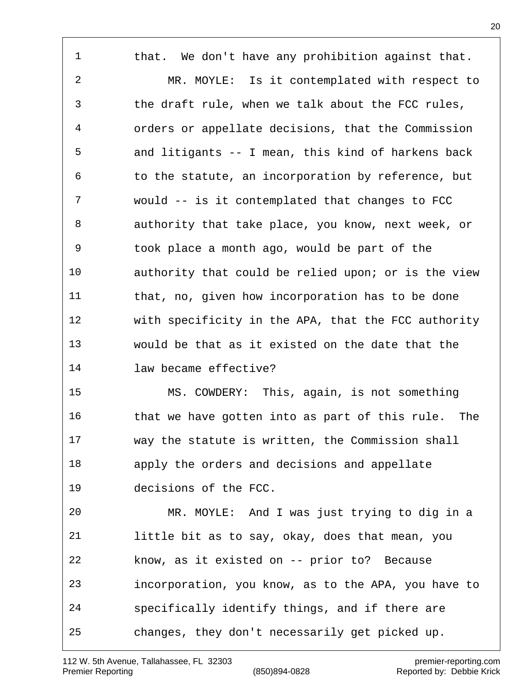1 that. We don't have any prohibition against that. MR. MOYLE: Is it contemplated with respect to the draft rule, when we talk about the FCC rules, orders or appellate decisions, that the Commission and litigants -- I mean, this kind of harkens back to the statute, an incorporation by reference, but would -- is it contemplated that changes to FCC authority that take place, you know, next week, or took place a month ago, would be part of the authority that could be relied upon; or is the view that, no, given how incorporation has to be done with specificity in the APA, that the FCC authority would be that as it existed on the date that the law became effective? MS. COWDERY: This, again, is not something that we have gotten into as part of this rule. The way the statute is written, the Commission shall apply the orders and decisions and appellate decisions of the FCC. MR. MOYLE: And I was just trying to dig in a little bit as to say, okay, does that mean, you know, as it existed on -- prior to? Because

incorporation, you know, as to the APA, you have to

specifically identify things, and if there are

changes, they don't necessarily get picked up.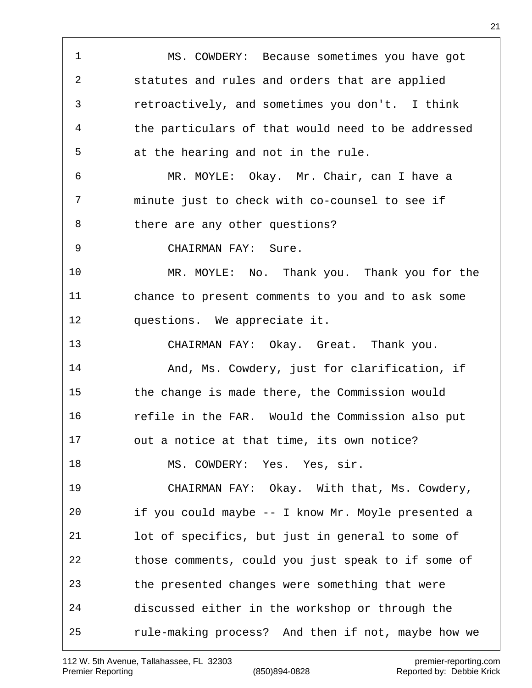MS. COWDERY: Because sometimes you have got statutes and rules and orders that are applied retroactively, and sometimes you don't. I think the particulars of that would need to be addressed at the hearing and not in the rule. MR. MOYLE: Okay. Mr. Chair, can I have a minute just to check with co-counsel to see if there are any other questions? CHAIRMAN FAY: Sure. MR. MOYLE: No. Thank you. Thank you for the chance to present comments to you and to ask some questions. We appreciate it. CHAIRMAN FAY: Okay. Great. Thank you. And, Ms. Cowdery, just for clarification, if the change is made there, the Commission would refile in the FAR. Would the Commission also put out a notice at that time, its own notice? 18 MS. COWDERY: Yes. Yes, sir. CHAIRMAN FAY: Okay. With that, Ms. Cowdery, if you could maybe -- I know Mr. Moyle presented a lot of specifics, but just in general to some of those comments, could you just speak to if some of the presented changes were something that were discussed either in the workshop or through the rule-making process? And then if not, maybe how we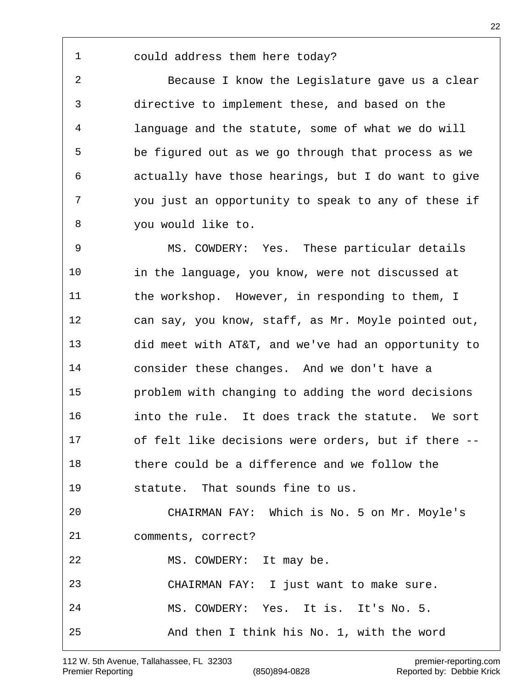## could address them here today?

 Because I know the Legislature gave us a clear directive to implement these, and based on the language and the statute, some of what we do will be figured out as we go through that process as we actually have those hearings, but I do want to give you just an opportunity to speak to any of these if you would like to.

 MS. COWDERY: Yes. These particular details in the language, you know, were not discussed at the workshop. However, in responding to them, I can say, you know, staff, as Mr. Moyle pointed out, did meet with AT&T, and we've had an opportunity to consider these changes. And we don't have a problem with changing to adding the word decisions into the rule. It does track the statute. We sort of felt like decisions were orders, but if there -- there could be a difference and we follow the statute. That sounds fine to us. CHAIRMAN FAY: Which is No. 5 on Mr. Moyle's comments, correct? MS. COWDERY: It may be. CHAIRMAN FAY: I just want to make sure. MS. COWDERY: Yes. It is. It's No. 5. And then I think his No. 1, with the word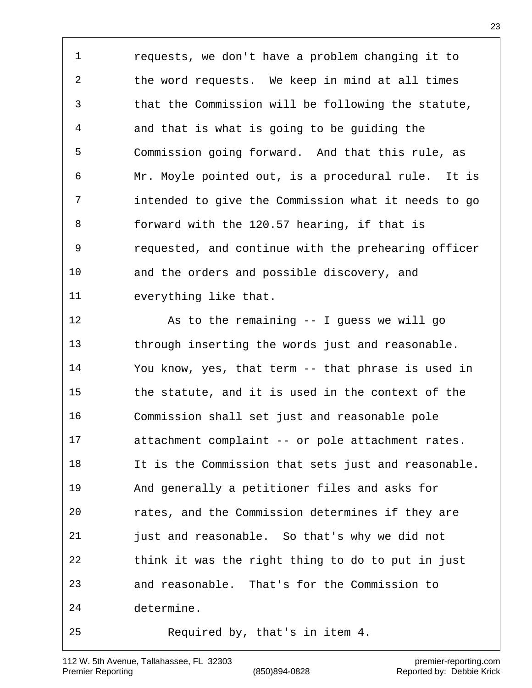requests, we don't have a problem changing it to the word requests. We keep in mind at all times that the Commission will be following the statute, and that is what is going to be guiding the Commission going forward. And that this rule, as Mr. Moyle pointed out, is a procedural rule. It is intended to give the Commission what it needs to go forward with the 120.57 hearing, if that is requested, and continue with the prehearing officer and the orders and possible discovery, and everything like that.

 As to the remaining -- I guess we will go through inserting the words just and reasonable. You know, yes, that term -- that phrase is used in the statute, and it is used in the context of the Commission shall set just and reasonable pole attachment complaint -- or pole attachment rates. It is the Commission that sets just and reasonable. And generally a petitioner files and asks for rates, and the Commission determines if they are just and reasonable. So that's why we did not think it was the right thing to do to put in just and reasonable. That's for the Commission to determine. Required by, that's in item 4.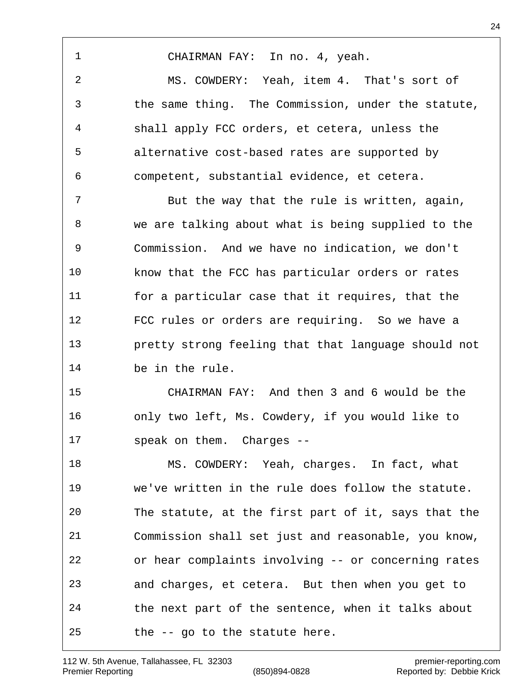112 W. 5th Avenue, Tallahassee, FL 32303 premier-reporting.com Premier Reporting (850)894-0828 Reported by: Debbie Krick

CHAIRMAN FAY: In no. 4, yeah.

 MS. COWDERY: Yeah, item 4. That's sort of the same thing. The Commission, under the statute, shall apply FCC orders, et cetera, unless the alternative cost-based rates are supported by competent, substantial evidence, et cetera.

 But the way that the rule is written, again, we are talking about what is being supplied to the Commission. And we have no indication, we don't know that the FCC has particular orders or rates for a particular case that it requires, that the FCC rules or orders are requiring. So we have a pretty strong feeling that that language should not be in the rule.

 CHAIRMAN FAY: And then 3 and 6 would be the only two left, Ms. Cowdery, if you would like to speak on them. Charges --

 MS. COWDERY: Yeah, charges. In fact, what we've written in the rule does follow the statute. The statute, at the first part of it, says that the Commission shall set just and reasonable, you know, or hear complaints involving -- or concerning rates and charges, et cetera. But then when you get to the next part of the sentence, when it talks about the -- go to the statute here.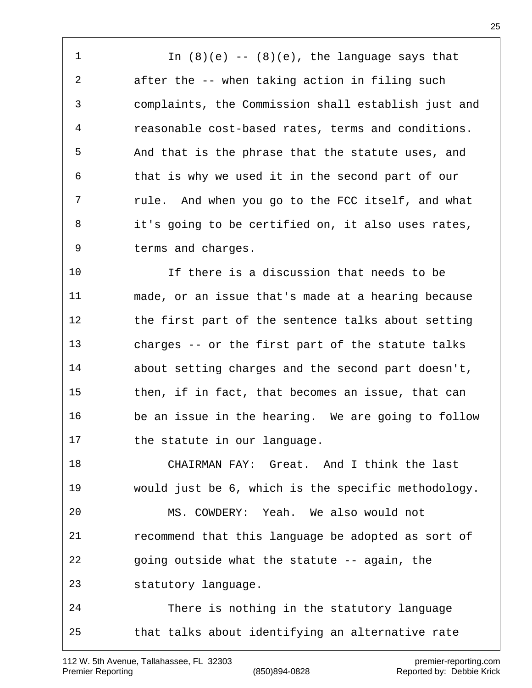1 In (8)(e) -- (8)(e), the language says that after the -- when taking action in filing such complaints, the Commission shall establish just and reasonable cost-based rates, terms and conditions. And that is the phrase that the statute uses, and that is why we used it in the second part of our rule. And when you go to the FCC itself, and what it's going to be certified on, it also uses rates, terms and charges.

 If there is a discussion that needs to be made, or an issue that's made at a hearing because the first part of the sentence talks about setting charges -- or the first part of the statute talks about setting charges and the second part doesn't, then, if in fact, that becomes an issue, that can be an issue in the hearing. We are going to follow 17 the statute in our language.

 CHAIRMAN FAY: Great. And I think the last would just be 6, which is the specific methodology. MS. COWDERY: Yeah. We also would not recommend that this language be adopted as sort of going outside what the statute -- again, the statutory language.

 There is nothing in the statutory language that talks about identifying an alternative rate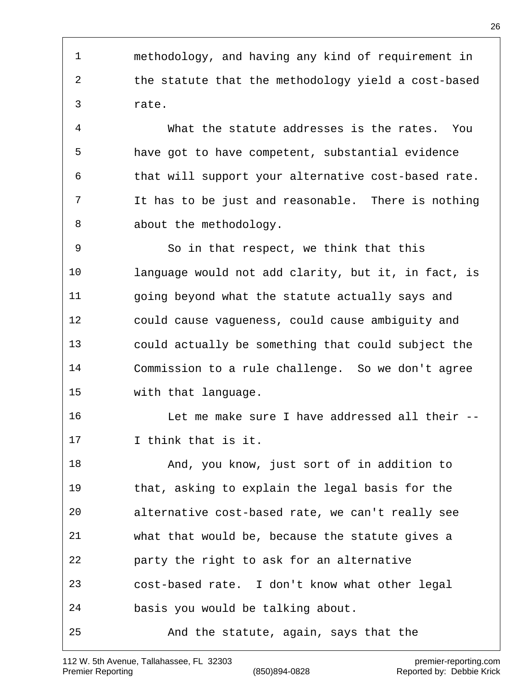methodology, and having any kind of requirement in the statute that the methodology yield a cost-based rate.

 What the statute addresses is the rates. You have got to have competent, substantial evidence that will support your alternative cost-based rate. It has to be just and reasonable. There is nothing 8 about the methodology.

 So in that respect, we think that this language would not add clarity, but it, in fact, is going beyond what the statute actually says and could cause vagueness, could cause ambiguity and could actually be something that could subject the Commission to a rule challenge. So we don't agree with that language.

 Let me make sure I have addressed all their -- I think that is it.

 And, you know, just sort of in addition to that, asking to explain the legal basis for the alternative cost-based rate, we can't really see what that would be, because the statute gives a party the right to ask for an alternative cost-based rate. I don't know what other legal basis you would be talking about. And the statute, again, says that the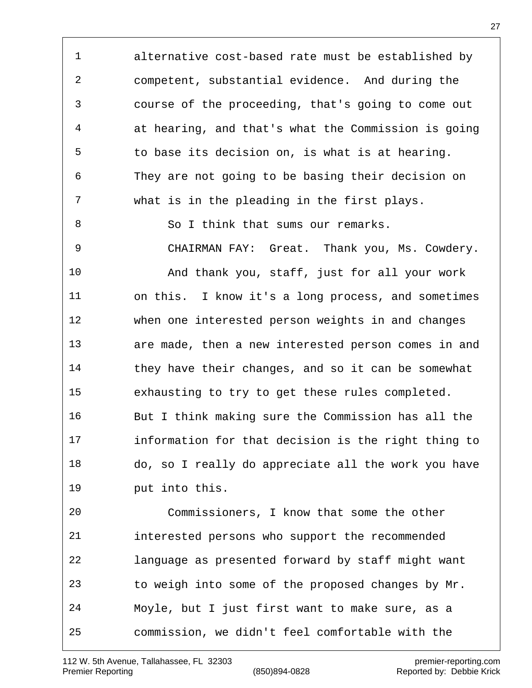alternative cost-based rate must be established by competent, substantial evidence. And during the course of the proceeding, that's going to come out at hearing, and that's what the Commission is going to base its decision on, is what is at hearing. They are not going to be basing their decision on what is in the pleading in the first plays. So I think that sums our remarks. CHAIRMAN FAY: Great. Thank you, Ms. Cowdery. And thank you, staff, just for all your work on this. I know it's a long process, and sometimes when one interested person weights in and changes

 are made, then a new interested person comes in and they have their changes, and so it can be somewhat exhausting to try to get these rules completed. But I think making sure the Commission has all the information for that decision is the right thing to do, so I really do appreciate all the work you have put into this.

 Commissioners, I know that some the other interested persons who support the recommended language as presented forward by staff might want to weigh into some of the proposed changes by Mr. Moyle, but I just first want to make sure, as a commission, we didn't feel comfortable with the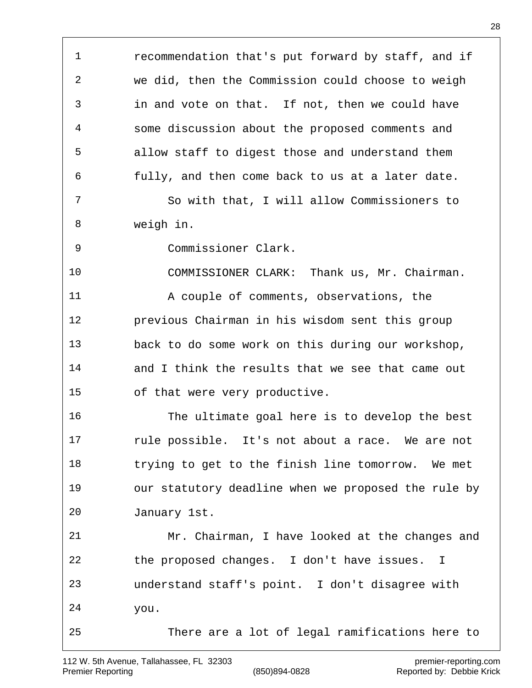recommendation that's put forward by staff, and if we did, then the Commission could choose to weigh in and vote on that. If not, then we could have some discussion about the proposed comments and allow staff to digest those and understand them fully, and then come back to us at a later date. So with that, I will allow Commissioners to weigh in. Commissioner Clark. COMMISSIONER CLARK: Thank us, Mr. Chairman. A couple of comments, observations, the previous Chairman in his wisdom sent this group back to do some work on this during our workshop, and I think the results that we see that came out of that were very productive. The ultimate goal here is to develop the best rule possible. It's not about a race. We are not trying to get to the finish line tomorrow. We met our statutory deadline when we proposed the rule by January 1st. Mr. Chairman, I have looked at the changes and the proposed changes. I don't have issues. I understand staff's point. I don't disagree with you. There are a lot of legal ramifications here to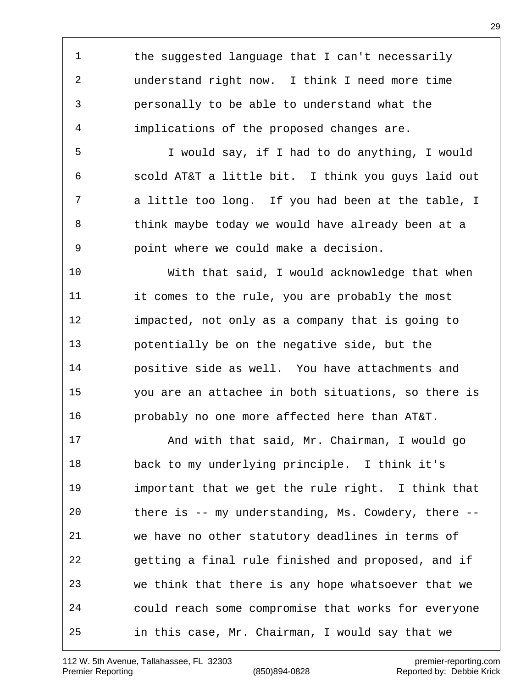the suggested language that I can't necessarily understand right now. I think I need more time personally to be able to understand what the implications of the proposed changes are.

 I would say, if I had to do anything, I would scold AT&T a little bit. I think you guys laid out a little too long. If you had been at the table, I 8 think maybe today we would have already been at a point where we could make a decision.

 With that said, I would acknowledge that when it comes to the rule, you are probably the most impacted, not only as a company that is going to potentially be on the negative side, but the positive side as well. You have attachments and you are an attachee in both situations, so there is probably no one more affected here than AT&T.

 And with that said, Mr. Chairman, I would go back to my underlying principle. I think it's important that we get the rule right. I think that there is -- my understanding, Ms. Cowdery, there -- we have no other statutory deadlines in terms of getting a final rule finished and proposed, and if we think that there is any hope whatsoever that we could reach some compromise that works for everyone in this case, Mr. Chairman, I would say that we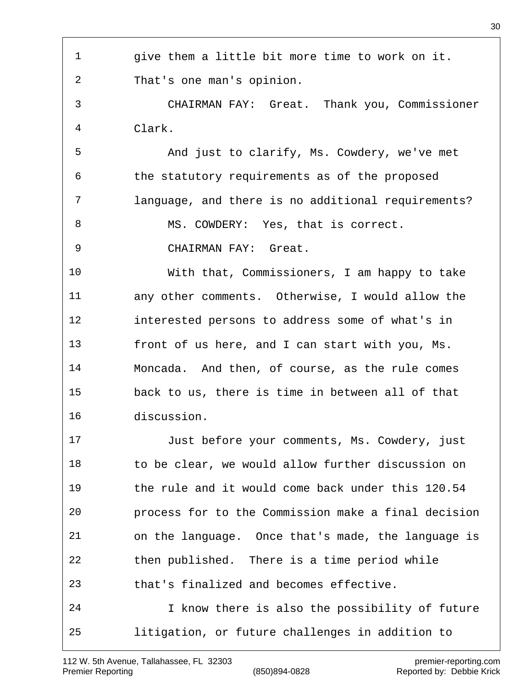give them a little bit more time to work on it. That's one man's opinion. CHAIRMAN FAY: Great. Thank you, Commissioner Clark. And just to clarify, Ms. Cowdery, we've met the statutory requirements as of the proposed language, and there is no additional requirements? 8 MS. COWDERY: Yes, that is correct. CHAIRMAN FAY: Great. With that, Commissioners, I am happy to take any other comments. Otherwise, I would allow the interested persons to address some of what's in front of us here, and I can start with you, Ms. Moncada. And then, of course, as the rule comes back to us, there is time in between all of that discussion. Just before your comments, Ms. Cowdery, just to be clear, we would allow further discussion on the rule and it would come back under this 120.54 process for to the Commission make a final decision on the language. Once that's made, the language is then published. There is a time period while that's finalized and becomes effective. I know there is also the possibility of future litigation, or future challenges in addition to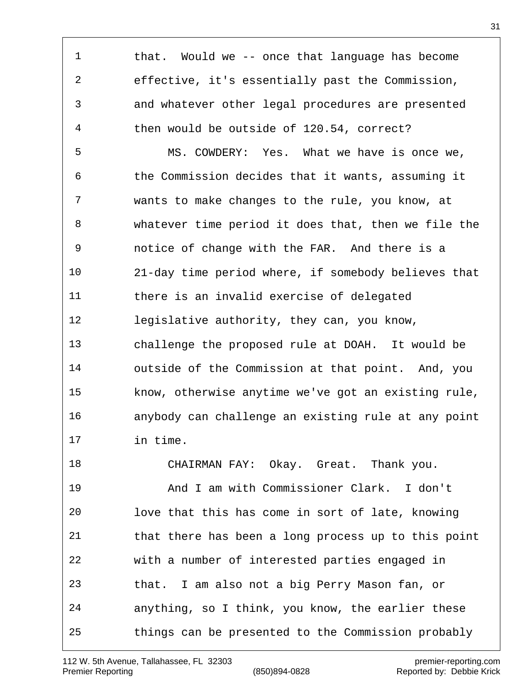that. Would we -- once that language has become effective, it's essentially past the Commission, and whatever other legal procedures are presented then would be outside of 120.54, correct?

 MS. COWDERY: Yes. What we have is once we, the Commission decides that it wants, assuming it wants to make changes to the rule, you know, at whatever time period it does that, then we file the notice of change with the FAR. And there is a 21-day time period where, if somebody believes that there is an invalid exercise of delegated legislative authority, they can, you know, challenge the proposed rule at DOAH. It would be outside of the Commission at that point. And, you know, otherwise anytime we've got an existing rule, anybody can challenge an existing rule at any point in time.

 CHAIRMAN FAY: Okay. Great. Thank you. And I am with Commissioner Clark. I don't love that this has come in sort of late, knowing that there has been a long process up to this point with a number of interested parties engaged in that. I am also not a big Perry Mason fan, or anything, so I think, you know, the earlier these things can be presented to the Commission probably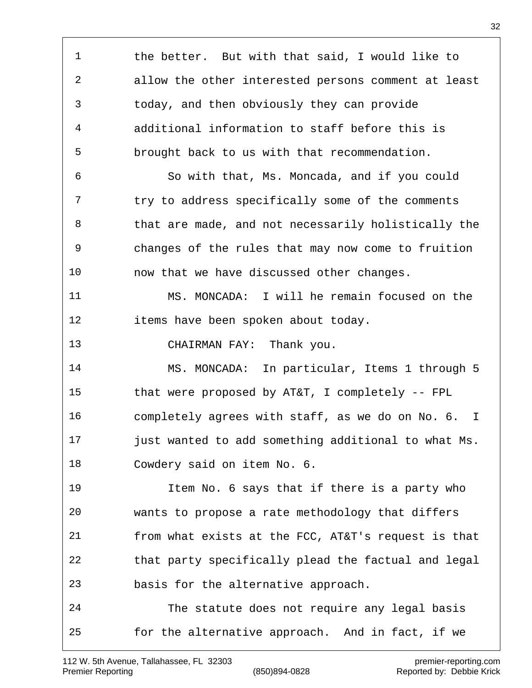the better. But with that said, I would like to allow the other interested persons comment at least today, and then obviously they can provide additional information to staff before this is brought back to us with that recommendation. So with that, Ms. Moncada, and if you could 7 try to address specifically some of the comments that are made, and not necessarily holistically the changes of the rules that may now come to fruition now that we have discussed other changes. MS. MONCADA: I will he remain focused on the items have been spoken about today. CHAIRMAN FAY: Thank you. MS. MONCADA: In particular, Items 1 through 5 that were proposed by AT&T, I completely -- FPL completely agrees with staff, as we do on No. 6. I just wanted to add something additional to what Ms. Cowdery said on item No. 6. Item No. 6 says that if there is a party who wants to propose a rate methodology that differs from what exists at the FCC, AT&T's request is that that party specifically plead the factual and legal basis for the alternative approach. The statute does not require any legal basis for the alternative approach. And in fact, if we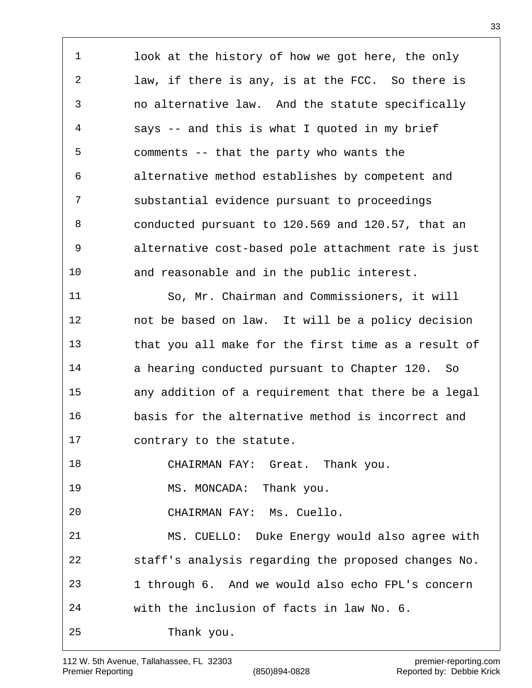look at the history of how we got here, the only law, if there is any, is at the FCC. So there is no alternative law. And the statute specifically says -- and this is what I quoted in my brief comments -- that the party who wants the alternative method establishes by competent and substantial evidence pursuant to proceedings conducted pursuant to 120.569 and 120.57, that an alternative cost-based pole attachment rate is just and reasonable and in the public interest. So, Mr. Chairman and Commissioners, it will not be based on law. It will be a policy decision that you all make for the first time as a result of 14 a hearing conducted pursuant to Chapter 120. So any addition of a requirement that there be a legal basis for the alternative method is incorrect and contrary to the statute. CHAIRMAN FAY: Great. Thank you. MS. MONCADA: Thank you. CHAIRMAN FAY: Ms. Cuello. MS. CUELLO: Duke Energy would also agree with staff's analysis regarding the proposed changes No. 1 through 6. And we would also echo FPL's concern

with the inclusion of facts in law No. 6.

Thank you.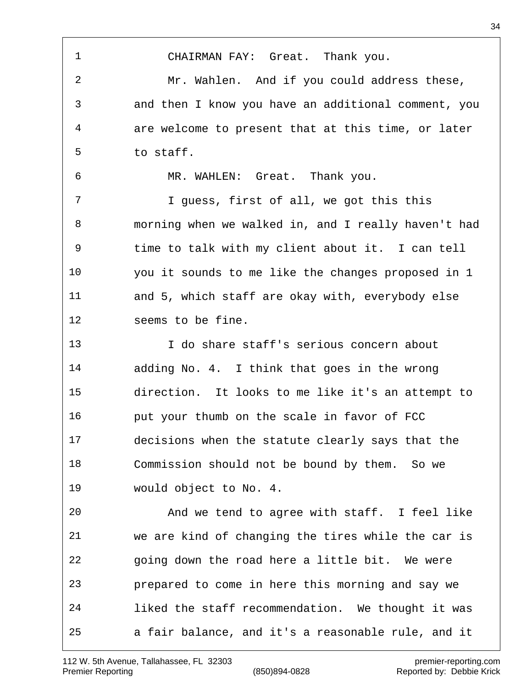CHAIRMAN FAY: Great. Thank you. Mr. Wahlen. And if you could address these, and then I know you have an additional comment, you are welcome to present that at this time, or later to staff. MR. WAHLEN: Great. Thank you. I guess, first of all, we got this this morning when we walked in, and I really haven't had time to talk with my client about it. I can tell you it sounds to me like the changes proposed in 1 and 5, which staff are okay with, everybody else seems to be fine. I do share staff's serious concern about adding No. 4. I think that goes in the wrong direction. It looks to me like it's an attempt to put your thumb on the scale in favor of FCC decisions when the statute clearly says that the Commission should not be bound by them. So we would object to No. 4. And we tend to agree with staff. I feel like we are kind of changing the tires while the car is going down the road here a little bit. We were prepared to come in here this morning and say we liked the staff recommendation. We thought it was a fair balance, and it's a reasonable rule, and it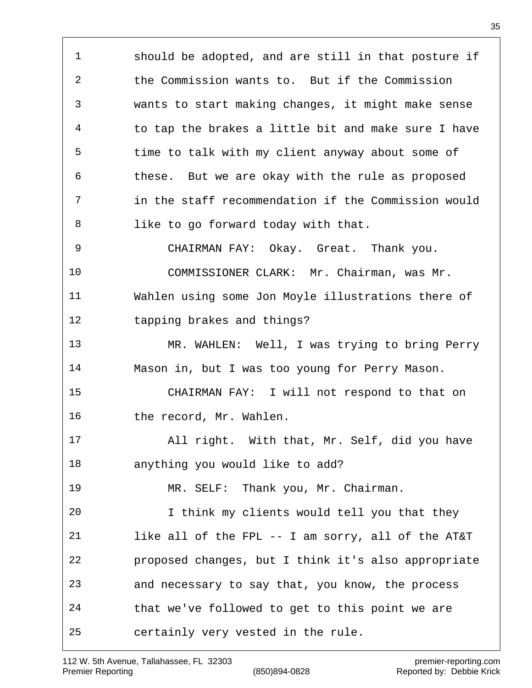should be adopted, and are still in that posture if the Commission wants to. But if the Commission wants to start making changes, it might make sense to tap the brakes a little bit and make sure I have time to talk with my client anyway about some of these. But we are okay with the rule as proposed in the staff recommendation if the Commission would like to go forward today with that. CHAIRMAN FAY: Okay. Great. Thank you. COMMISSIONER CLARK: Mr. Chairman, was Mr. Wahlen using some Jon Moyle illustrations there of tapping brakes and things? MR. WAHLEN: Well, I was trying to bring Perry Mason in, but I was too young for Perry Mason. CHAIRMAN FAY: I will not respond to that on 16 the record, Mr. Wahlen. All right. With that, Mr. Self, did you have anything you would like to add? MR. SELF: Thank you, Mr. Chairman. I think my clients would tell you that they like all of the FPL -- I am sorry, all of the AT&T proposed changes, but I think it's also appropriate and necessary to say that, you know, the process that we've followed to get to this point we are certainly very vested in the rule.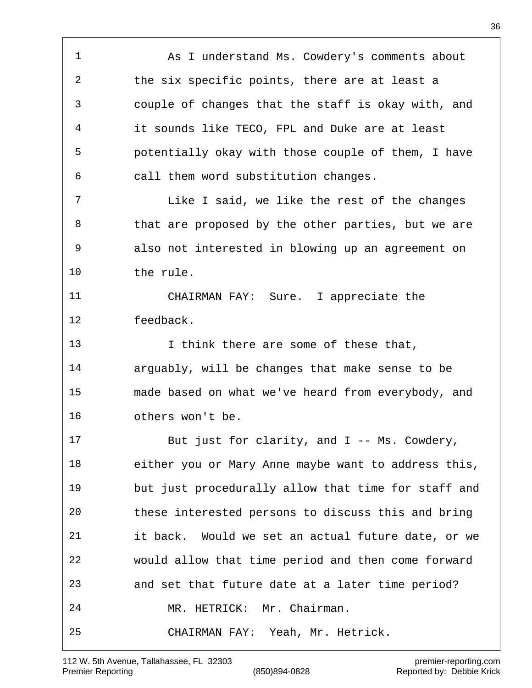1 As I understand Ms. Cowdery's comments about the six specific points, there are at least a couple of changes that the staff is okay with, and it sounds like TECO, FPL and Duke are at least potentially okay with those couple of them, I have call them word substitution changes. Like I said, we like the rest of the changes 8 that are proposed by the other parties, but we are also not interested in blowing up an agreement on the rule. CHAIRMAN FAY: Sure. I appreciate the feedback. I think there are some of these that, arguably, will be changes that make sense to be made based on what we've heard from everybody, and others won't be. But just for clarity, and I -- Ms. Cowdery, either you or Mary Anne maybe want to address this, but just procedurally allow that time for staff and these interested persons to discuss this and bring it back. Would we set an actual future date, or we would allow that time period and then come forward and set that future date at a later time period? MR. HETRICK: Mr. Chairman. CHAIRMAN FAY: Yeah, Mr. Hetrick.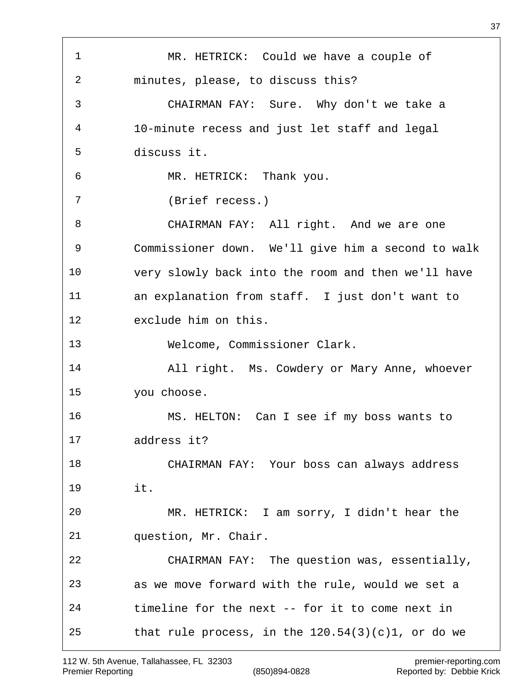MR. HETRICK: Could we have a couple of minutes, please, to discuss this? CHAIRMAN FAY: Sure. Why don't we take a 10-minute recess and just let staff and legal discuss it. MR. HETRICK: Thank you. (Brief recess.) CHAIRMAN FAY: All right. And we are one Commissioner down. We'll give him a second to walk very slowly back into the room and then we'll have an explanation from staff. I just don't want to exclude him on this. Welcome, Commissioner Clark. All right. Ms. Cowdery or Mary Anne, whoever you choose. MS. HELTON: Can I see if my boss wants to address it? CHAIRMAN FAY: Your boss can always address it. MR. HETRICK: I am sorry, I didn't hear the question, Mr. Chair. CHAIRMAN FAY: The question was, essentially, as we move forward with the rule, would we set a timeline for the next -- for it to come next in 25 that rule process, in the  $120.54(3)(c)1$ , or do we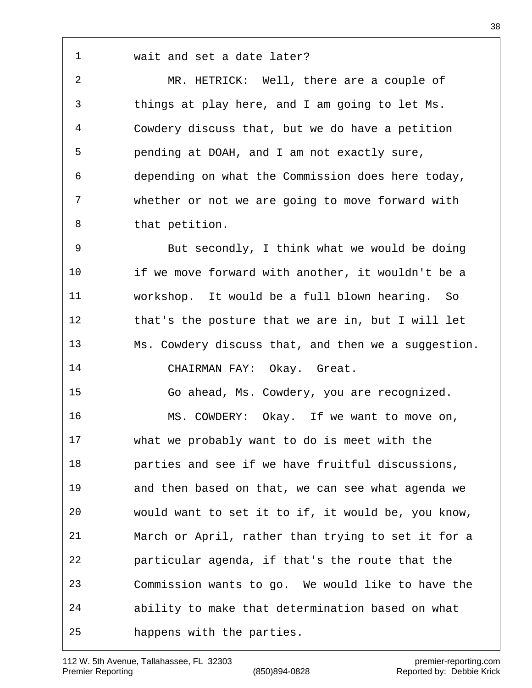wait and set a date later?

 MR. HETRICK: Well, there are a couple of things at play here, and I am going to let Ms. Cowdery discuss that, but we do have a petition pending at DOAH, and I am not exactly sure, depending on what the Commission does here today, whether or not we are going to move forward with that petition.

 But secondly, I think what we would be doing if we move forward with another, it wouldn't be a workshop. It would be a full blown hearing. So that's the posture that we are in, but I will let Ms. Cowdery discuss that, and then we a suggestion. CHAIRMAN FAY: Okay. Great.

 Go ahead, Ms. Cowdery, you are recognized. MS. COWDERY: Okay. If we want to move on, what we probably want to do is meet with the parties and see if we have fruitful discussions, and then based on that, we can see what agenda we would want to set it to if, it would be, you know, March or April, rather than trying to set it for a

 particular agenda, if that's the route that the Commission wants to go. We would like to have the

ability to make that determination based on what

happens with the parties.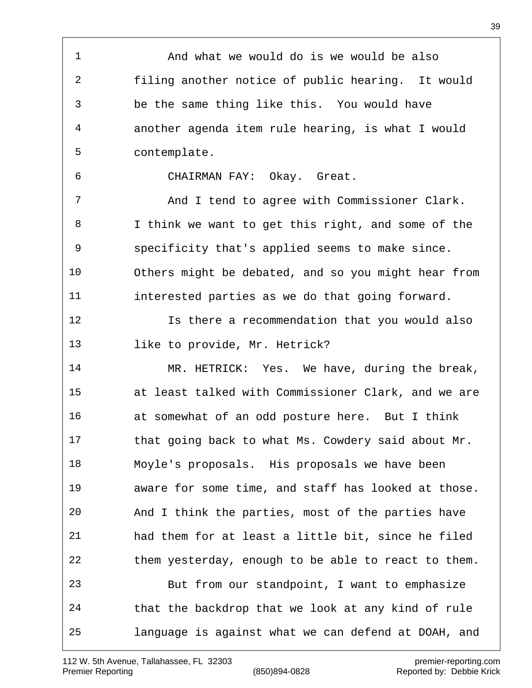And what we would do is we would be also filing another notice of public hearing. It would be the same thing like this. You would have another agenda item rule hearing, is what I would contemplate. CHAIRMAN FAY: Okay. Great. And I tend to agree with Commissioner Clark. I think we want to get this right, and some of the specificity that's applied seems to make since. Others might be debated, and so you might hear from interested parties as we do that going forward. Is there a recommendation that you would also 13 like to provide, Mr. Hetrick? MR. HETRICK: Yes. We have, during the break, at least talked with Commissioner Clark, and we are at somewhat of an odd posture here. But I think that going back to what Ms. Cowdery said about Mr. Moyle's proposals. His proposals we have been aware for some time, and staff has looked at those. And I think the parties, most of the parties have had them for at least a little bit, since he filed them yesterday, enough to be able to react to them. But from our standpoint, I want to emphasize that the backdrop that we look at any kind of rule language is against what we can defend at DOAH, and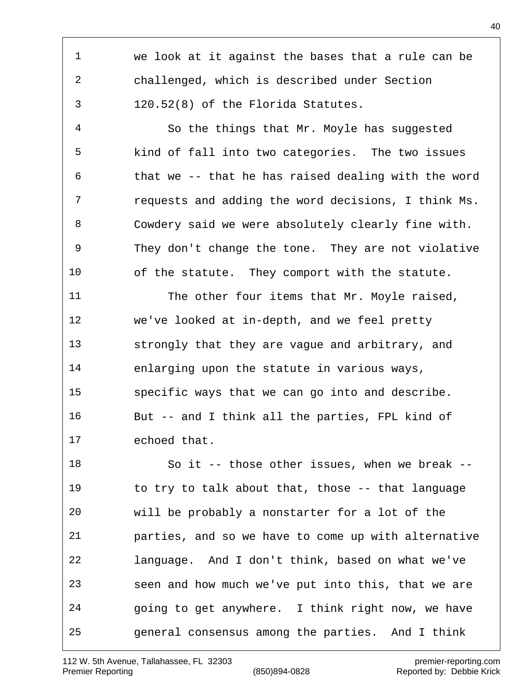we look at it against the bases that a rule can be challenged, which is described under Section 120.52(8) of the Florida Statutes. So the things that Mr. Moyle has suggested kind of fall into two categories. The two issues that we -- that he has raised dealing with the word requests and adding the word decisions, I think Ms. Cowdery said we were absolutely clearly fine with. They don't change the tone. They are not violative of the statute. They comport with the statute. 11 The other four items that Mr. Moyle raised, we've looked at in-depth, and we feel pretty strongly that they are vague and arbitrary, and enlarging upon the statute in various ways, specific ways that we can go into and describe. But -- and I think all the parties, FPL kind of echoed that. So it -- those other issues, when we break -- to try to talk about that, those -- that language will be probably a nonstarter for a lot of the parties, and so we have to come up with alternative language. And I don't think, based on what we've seen and how much we've put into this, that we are going to get anywhere. I think right now, we have general consensus among the parties. And I think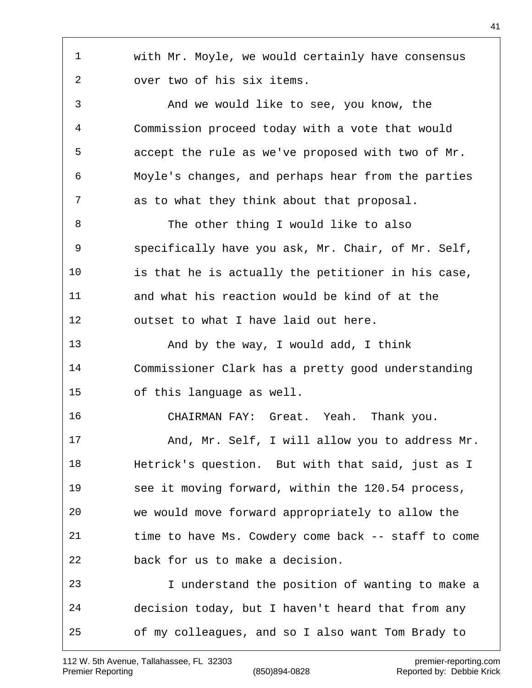with Mr. Moyle, we would certainly have consensus over two of his six items. And we would like to see, you know, the Commission proceed today with a vote that would accept the rule as we've proposed with two of Mr. Moyle's changes, and perhaps hear from the parties as to what they think about that proposal. 8 The other thing I would like to also specifically have you ask, Mr. Chair, of Mr. Self, is that he is actually the petitioner in his case, and what his reaction would be kind of at the outset to what I have laid out here. And by the way, I would add, I think Commissioner Clark has a pretty good understanding of this language as well. CHAIRMAN FAY: Great. Yeah. Thank you. And, Mr. Self, I will allow you to address Mr. Hetrick's question. But with that said, just as I see it moving forward, within the 120.54 process, we would move forward appropriately to allow the time to have Ms. Cowdery come back -- staff to come back for us to make a decision. I understand the position of wanting to make a decision today, but I haven't heard that from any of my colleagues, and so I also want Tom Brady to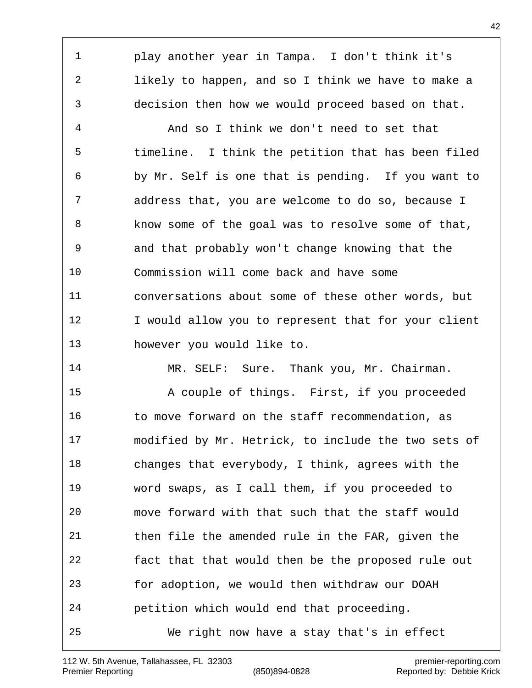play another year in Tampa. I don't think it's likely to happen, and so I think we have to make a decision then how we would proceed based on that.

 And so I think we don't need to set that timeline. I think the petition that has been filed by Mr. Self is one that is pending. If you want to address that, you are welcome to do so, because I know some of the goal was to resolve some of that, and that probably won't change knowing that the Commission will come back and have some conversations about some of these other words, but 12 I would allow you to represent that for your client however you would like to.

14 MR. SELF: Sure. Thank you, Mr. Chairman.

 A couple of things. First, if you proceeded 16 to move forward on the staff recommendation, as modified by Mr. Hetrick, to include the two sets of changes that everybody, I think, agrees with the word swaps, as I call them, if you proceeded to move forward with that such that the staff would then file the amended rule in the FAR, given the fact that that would then be the proposed rule out for adoption, we would then withdraw our DOAH petition which would end that proceeding. We right now have a stay that's in effect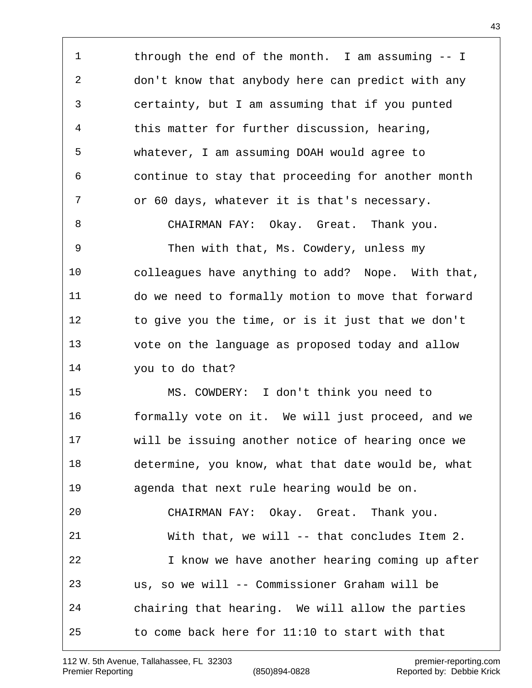through the end of the month. I am assuming -- I don't know that anybody here can predict with any certainty, but I am assuming that if you punted this matter for further discussion, hearing, whatever, I am assuming DOAH would agree to continue to stay that proceeding for another month or 60 days, whatever it is that's necessary. CHAIRMAN FAY: Okay. Great. Thank you. Then with that, Ms. Cowdery, unless my colleagues have anything to add? Nope. With that, do we need to formally motion to move that forward

 to give you the time, or is it just that we don't vote on the language as proposed today and allow you to do that?

 MS. COWDERY: I don't think you need to formally vote on it. We will just proceed, and we will be issuing another notice of hearing once we determine, you know, what that date would be, what agenda that next rule hearing would be on.

 CHAIRMAN FAY: Okay. Great. Thank you. With that, we will -- that concludes Item 2. I know we have another hearing coming up after us, so we will -- Commissioner Graham will be chairing that hearing. We will allow the parties to come back here for 11:10 to start with that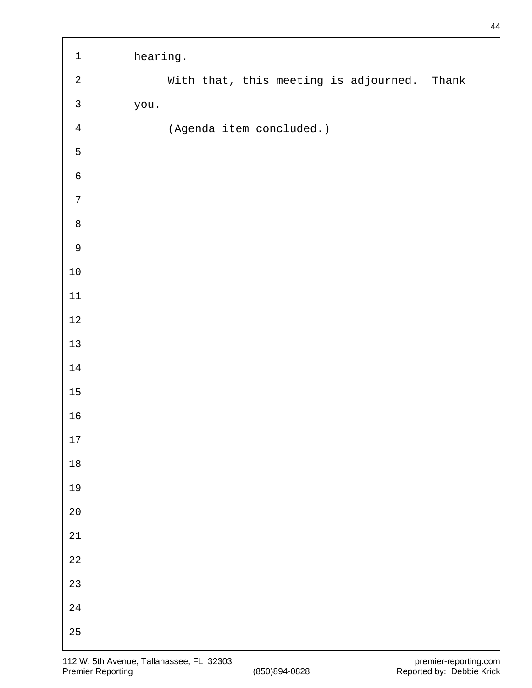| $\mathbf 1$    | hearing. |                          |                                             |  |
|----------------|----------|--------------------------|---------------------------------------------|--|
| $\overline{a}$ |          |                          | With that, this meeting is adjourned. Thank |  |
| $\mathsf{3}$   | you.     |                          |                                             |  |
| $\overline{4}$ |          | (Agenda item concluded.) |                                             |  |
| 5              |          |                          |                                             |  |
| $\sqrt{6}$     |          |                          |                                             |  |
| $\overline{7}$ |          |                          |                                             |  |
| $\,8\,$        |          |                          |                                             |  |
| $\mathsf 9$    |          |                          |                                             |  |
| $10\,$         |          |                          |                                             |  |
| $11\,$         |          |                          |                                             |  |
| $1\,2$         |          |                          |                                             |  |
| $13$           |          |                          |                                             |  |
| $14\,$         |          |                          |                                             |  |
| $15\,$         |          |                          |                                             |  |
| 16             |          |                          |                                             |  |
| $17\,$         |          |                          |                                             |  |
| $1\,8$         |          |                          |                                             |  |
| 19             |          |                          |                                             |  |
| $2\,0$         |          |                          |                                             |  |
| $2\sqrt{1}$    |          |                          |                                             |  |
| $2\sqrt{2}$    |          |                          |                                             |  |
| $2\sqrt{3}$    |          |                          |                                             |  |
| 24             |          |                          |                                             |  |
| $25\,$         |          |                          |                                             |  |